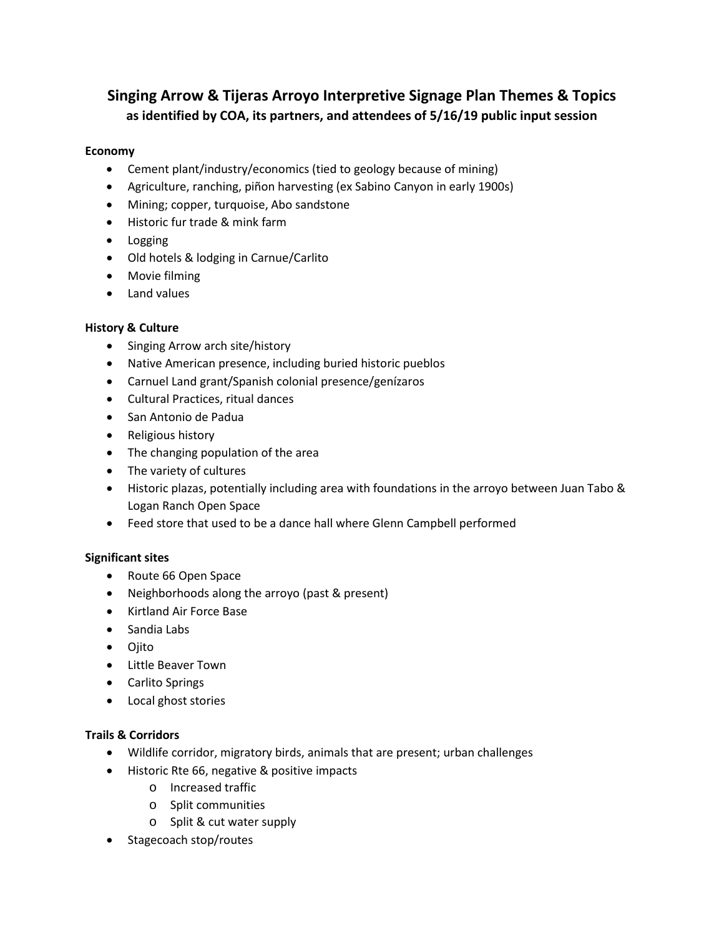# **Singing Arrow & Tijeras Arroyo Interpretive Signage Plan Themes & Topics as identified by COA, its partners, and attendees of 5/16/19 public input session**

## **Economy**

- Cement plant/industry/economics (tied to geology because of mining)
- Agriculture, ranching, piñon harvesting (ex Sabino Canyon in early 1900s)
- Mining; copper, turquoise, Abo sandstone
- Historic fur trade & mink farm
- Logging
- Old hotels & lodging in Carnue/Carlito
- Movie filming
- Land values

### **History & Culture**

- Singing Arrow arch site/history
- Native American presence, including buried historic pueblos
- Carnuel Land grant/Spanish colonial presence/genízaros
- Cultural Practices, ritual dances
- San Antonio de Padua
- Religious history
- The changing population of the area
- The variety of cultures
- Historic plazas, potentially including area with foundations in the arroyo between Juan Tabo & Logan Ranch Open Space
- Feed store that used to be a dance hall where Glenn Campbell performed

### **Significant sites**

- Route 66 Open Space
- Neighborhoods along the arroyo (past & present)
- Kirtland Air Force Base
- Sandia Labs
- Ojito
- Little Beaver Town
- Carlito Springs
- Local ghost stories

## **Trails & Corridors**

- Wildlife corridor, migratory birds, animals that are present; urban challenges
- Historic Rte 66, negative & positive impacts
	- o Increased traffic
	- o Split communities
	- o Split & cut water supply
- Stagecoach stop/routes